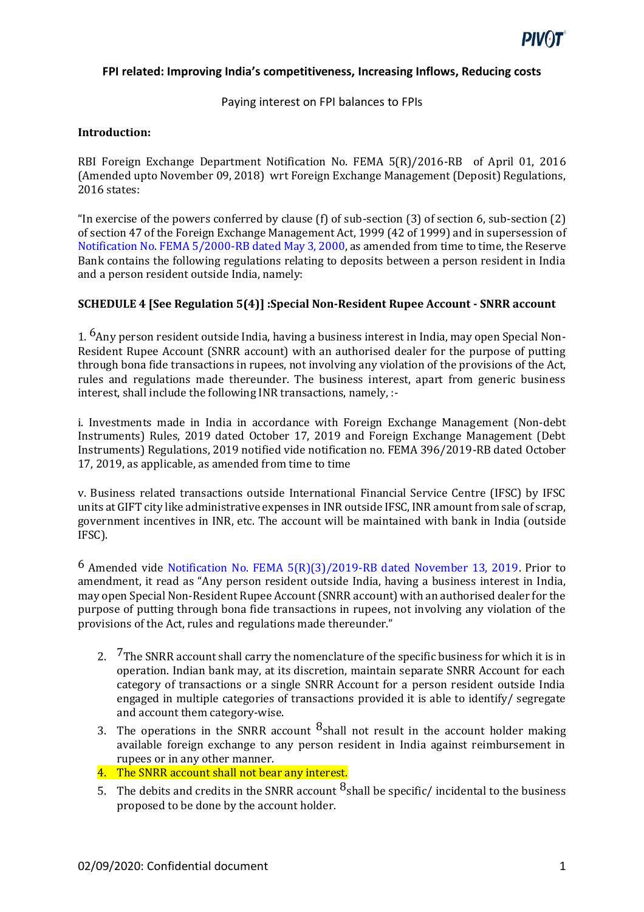

Paying interest on FPI balances to FPIs

### **Introduction:**

RBI Foreign Exchange Department Notification No. FEMA 5(R)/2016-RB of April 01, 2016 (Amended upto November 09, 2018) wrt Foreign Exchange Management (Deposit) Regulations, 2016 states:

"In exercise of the powers conferred by clause (f) of sub-section (3) of section 6, sub-section (2) of section 47 of the Foreign Exchange Management Act, 1999 (42 of 1999) and in supersession of Notification No. FEMA 5/2000-RB dated May 3, 2000, as amended from time to time, the Reserve Bank contains the following regulations relating to deposits between a person resident in India and a person resident outside India, namely:

## **SCHEDULE 4 [See Regulation 5(4)] :Special Non-Resident Rupee Account - SNRR account**

1.  $^{6}$ Any person resident outside India, having a business interest in India, may open Special Non-Resident Rupee Account (SNRR account) with an authorised dealer for the purpose of putting through bona fide transactions in rupees, not involving any violation of the provisions of the Act, rules and regulations made thereunder. The business interest, apart from generic business interest, shall include the following INR transactions, namely, :-

i. Investments made in India in accordance with Foreign Exchange Management (Non-debt Instruments) Rules, 2019 dated October 17, 2019 and Foreign Exchange Management (Debt Instruments) Regulations, 2019 notified vide notification no. FEMA 396/2019-RB dated October 17, 2019, as applicable, as amended from time to time

v. Business related transactions outside International Financial Service Centre (IFSC) by IFSC units at GIFT city like administrative expenses in INR outside IFSC, INR amount from sale of scrap, government incentives in INR, etc. The account will be maintained with bank in India (outside IFSC).

6 Amended vide Notification No. FEMA 5(R)(3)/2019-RB dated November 13, 2019. Prior to amendment, it read as "Any person resident outside India, having a business interest in India, may open Special Non-Resident Rupee Account (SNRR account) with an authorised dealer for the purpose of putting through bona fide transactions in rupees, not involving any violation of the provisions of the Act, rules and regulations made thereunder."

- 2. <sup>7</sup>The SNRR account shall carry the nomenclature of the specific business for which it is in operation. Indian bank may, at its discretion, maintain separate SNRR Account for each category of transactions or a single SNRR Account for a person resident outside India engaged in multiple categories of transactions provided it is able to identify/ segregate and account them category-wise.
- 3. The operations in the SNRR account  $<sup>8</sup>$ shall not result in the account holder making</sup> available foreign exchange to any person resident in India against reimbursement in rupees or in any other manner.
- 4. The SNRR account shall not bear any interest.
- 5. The debits and credits in the SNRR account  $\frac{8}{5}$ shall be specific/ incidental to the business proposed to be done by the account holder.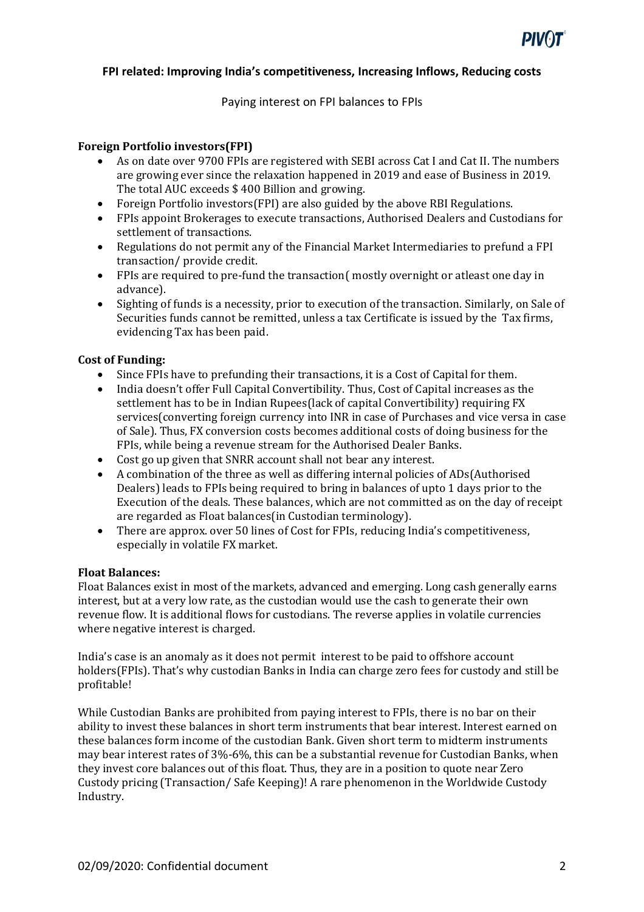

Paying interest on FPI balances to FPIs

### **Foreign Portfolio investors(FPI)**

- As on date over 9700 FPIs are registered with SEBI across Cat I and Cat II. The numbers are growing ever since the relaxation happened in 2019 and ease of Business in 2019. The total AUC exceeds \$ 400 Billion and growing.
- Foreign Portfolio investors(FPI) are also guided by the above RBI Regulations.
- FPIs appoint Brokerages to execute transactions, Authorised Dealers and Custodians for settlement of transactions.
- Regulations do not permit any of the Financial Market Intermediaries to prefund a FPI transaction/ provide credit.
- FPIs are required to pre-fund the transaction( mostly overnight or atleast one day in advance).
- Sighting of funds is a necessity, prior to execution of the transaction. Similarly, on Sale of Securities funds cannot be remitted, unless a tax Certificate is issued by the Tax firms, evidencing Tax has been paid.

#### **Cost of Funding:**

- Since FPIs have to prefunding their transactions, it is a Cost of Capital for them.
- India doesn't offer Full Capital Convertibility. Thus, Cost of Capital increases as the settlement has to be in Indian Rupees(lack of capital Convertibility) requiring FX services(converting foreign currency into INR in case of Purchases and vice versa in case of Sale). Thus, FX conversion costs becomes additional costs of doing business for the FPIs, while being a revenue stream for the Authorised Dealer Banks.
- Cost go up given that SNRR account shall not bear any interest.
- A combination of the three as well as differing internal policies of ADs(Authorised Dealers) leads to FPIs being required to bring in balances of upto 1 days prior to the Execution of the deals. These balances, which are not committed as on the day of receipt are regarded as Float balances(in Custodian terminology).
- There are approx. over 50 lines of Cost for FPIs, reducing India's competitiveness, especially in volatile FX market.

#### **Float Balances:**

Float Balances exist in most of the markets, advanced and emerging. Long cash generally earns interest, but at a very low rate, as the custodian would use the cash to generate their own revenue flow. It is additional flows for custodians. The reverse applies in volatile currencies where negative interest is charged.

India's case is an anomaly as it does not permit interest to be paid to offshore account holders(FPIs). That's why custodian Banks in India can charge zero fees for custody and still be profitable!

While Custodian Banks are prohibited from paying interest to FPIs, there is no bar on their ability to invest these balances in short term instruments that bear interest. Interest earned on these balances form income of the custodian Bank. Given short term to midterm instruments may bear interest rates of 3%-6%, this can be a substantial revenue for Custodian Banks, when they invest core balances out of this float. Thus, they are in a position to quote near Zero Custody pricing (Transaction/ Safe Keeping)! A rare phenomenon in the Worldwide Custody Industry.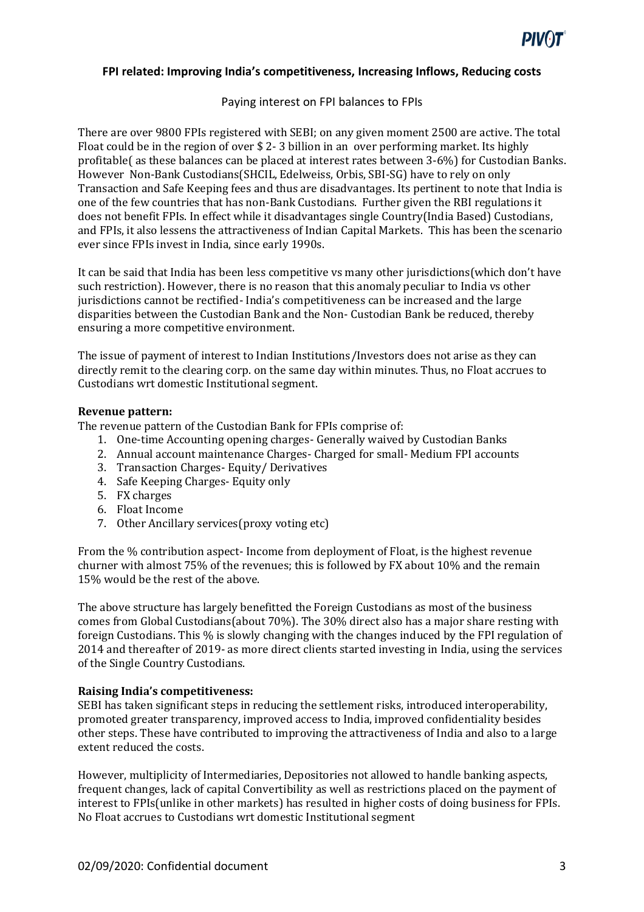

### Paying interest on FPI balances to FPIs

There are over 9800 FPIs registered with SEBI; on any given moment 2500 are active. The total Float could be in the region of over \$ 2- 3 billion in an over performing market. Its highly profitable( as these balances can be placed at interest rates between 3-6%) for Custodian Banks. However Non-Bank Custodians(SHCIL, Edelweiss, Orbis, SBI-SG) have to rely on only Transaction and Safe Keeping fees and thus are disadvantages. Its pertinent to note that India is one of the few countries that has non-Bank Custodians. Further given the RBI regulations it does not benefit FPIs. In effect while it disadvantages single Country(India Based) Custodians, and FPIs, it also lessens the attractiveness of Indian Capital Markets. This has been the scenario ever since FPIs invest in India, since early 1990s.

It can be said that India has been less competitive vs many other jurisdictions(which don't have such restriction). However, there is no reason that this anomaly peculiar to India vs other jurisdictions cannot be rectified- India's competitiveness can be increased and the large disparities between the Custodian Bank and the Non- Custodian Bank be reduced, thereby ensuring a more competitive environment.

The issue of payment of interest to Indian Institutions/Investors does not arise as they can directly remit to the clearing corp. on the same day within minutes. Thus, no Float accrues to Custodians wrt domestic Institutional segment.

#### **Revenue pattern:**

The revenue pattern of the Custodian Bank for FPIs comprise of:

- 1. One-time Accounting opening charges- Generally waived by Custodian Banks
- 2. Annual account maintenance Charges- Charged for small- Medium FPI accounts
- 3. Transaction Charges- Equity/ Derivatives
- 4. Safe Keeping Charges- Equity only
- 5. FX charges
- 6. Float Income
- 7. Other Ancillary services(proxy voting etc)

From the % contribution aspect- Income from deployment of Float, is the highest revenue churner with almost 75% of the revenues; this is followed by FX about 10% and the remain 15% would be the rest of the above.

The above structure has largely benefitted the Foreign Custodians as most of the business comes from Global Custodians(about 70%). The 30% direct also has a major share resting with foreign Custodians. This % is slowly changing with the changes induced by the FPI regulation of 2014 and thereafter of 2019- as more direct clients started investing in India, using the services of the Single Country Custodians.

#### **Raising India's competitiveness:**

SEBI has taken significant steps in reducing the settlement risks, introduced interoperability, promoted greater transparency, improved access to India, improved confidentiality besides other steps. These have contributed to improving the attractiveness of India and also to a large extent reduced the costs.

However, multiplicity of Intermediaries, Depositories not allowed to handle banking aspects, frequent changes, lack of capital Convertibility as well as restrictions placed on the payment of interest to FPIs(unlike in other markets) has resulted in higher costs of doing business for FPIs. No Float accrues to Custodians wrt domestic Institutional segment